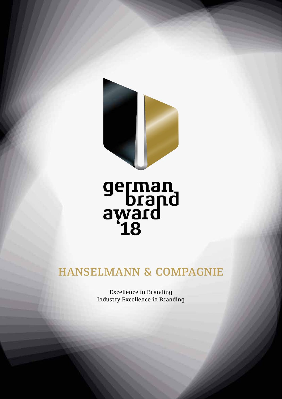

# german<br>brand<br>award<br>18

## HANSELMANN & COMPAGNIE

Excellence in Branding Industry Excellence in Branding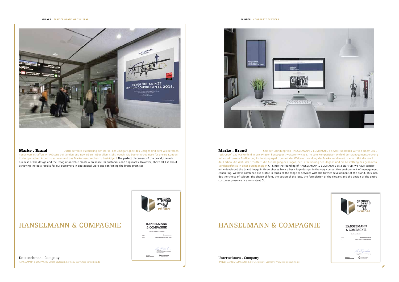

Marke . Brand Durch perfekte Platzierung der Marke, der Einzigartigkeit des Designs und dem Wiedererkennungswert schaffen wir Präsenz bei Kunden und Bewerbern. Über allem steht jedoch: Die besten Ergebnisse für unsere Kunden in der operativen Arbeit zu erzielen und das Markenversprechen zu bestätigen! The perfect placement of the brand, the uniqueness of the design and the recognition value create a presence for customers and applicants. However, above all it is about achieving the best results for our customers in operational work and confirming the brand promise!

### HANSELMANN & COMPAGNIE | HANSELMANN | HANSELMANN & COMPAGNIE

Marke . Brand Seit der Gründung von HANSELMANN & COMPAGNIE als Start-up haben wir von einem "Hauruck-Logo" das Markenbild in drei Phasen konsequent weiterentwickelt. Im sehr kompetitiven Umfeld der Managementberatung haben wir unsere Profilierung im Leistungsspektrum mit der Weiterentwicklung der Marke kombiniert. Hierzu zählt die Wahl der Farben, die Wahl der Schriftart, die Ausprägung des Logos, der Formulierung der Slogans und die Gestaltung des gesamten Kundenauftritts in einer durchgängigen CI. Since the founding of HANSELMANN & COMPAGNIE as a start-up, we have consistently developed the brand image in three phases from a basic logo design. In the very competitive environment of management consulting, we have combined our profile in terms of the range of services with the further development of the brand. This includes the choice of colours, the choice of font, the design of the logo, the formulation of the slogans and the design of the entire customer presence in a consistent CI.

Unternehmen . Company HANSELMANN & COMPAGNIE GmbH, Stuttgart, Germany, www.hcie-consulting.de

## german<br>brand<br>award<br>18 winner



Unternehmen . Company HANSELMANN & COMPAGNIE GmbH, Stuttgart, Germany, www.hcie-consulting.de